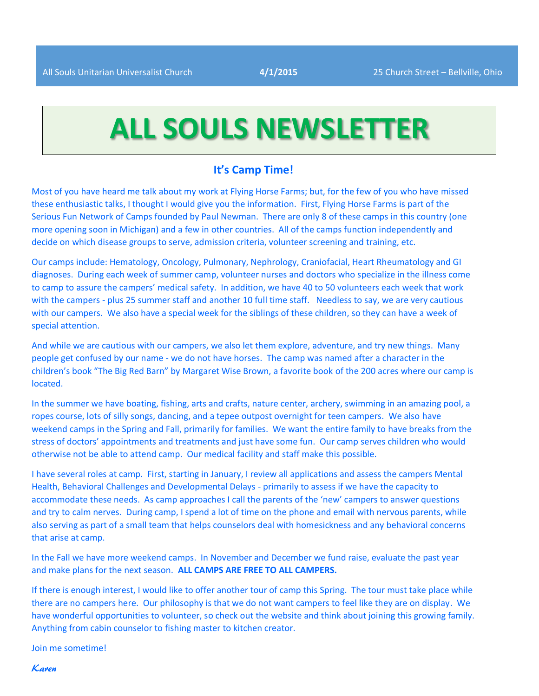# **ALL SOULS NEWSLETTER**

#### **It's Camp Time!**

Most of you have heard me talk about my work at Flying Horse Farms; but, for the few of you who have missed these enthusiastic talks, I thought I would give you the information. First, Flying Horse Farms is part of the Serious Fun Network of Camps founded by Paul Newman. There are only 8 of these camps in this country (one more opening soon in Michigan) and a few in other countries. All of the camps function independently and decide on which disease groups to serve, admission criteria, volunteer screening and training, etc.

Our camps include: Hematology, Oncology, Pulmonary, Nephrology, Craniofacial, Heart Rheumatology and GI diagnoses. During each week of summer camp, volunteer nurses and doctors who specialize in the illness come to camp to assure the campers' medical safety. In addition, we have 40 to 50 volunteers each week that work with the campers - plus 25 summer staff and another 10 full time staff. Needless to say, we are very cautious with our campers. We also have a special week for the siblings of these children, so they can have a week of special attention.

And while we are cautious with our campers, we also let them explore, adventure, and try new things. Many people get confused by our name - we do not have horses. The camp was named after a character in the children's book "The Big Red Barn" by Margaret Wise Brown, a favorite book of the 200 acres where our camp is located.

In the summer we have boating, fishing, arts and crafts, nature center, archery, swimming in an amazing pool, a ropes course, lots of silly songs, dancing, and a tepee outpost overnight for teen campers. We also have weekend camps in the Spring and Fall, primarily for families. We want the entire family to have breaks from the stress of doctors' appointments and treatments and just have some fun. Our camp serves children who would otherwise not be able to attend camp. Our medical facility and staff make this possible.

I have several roles at camp. First, starting in January, I review all applications and assess the campers Mental Health, Behavioral Challenges and Developmental Delays - primarily to assess if we have the capacity to accommodate these needs. As camp approaches I call the parents of the 'new' campers to answer questions and try to calm nerves. During camp, I spend a lot of time on the phone and email with nervous parents, while also serving as part of a small team that helps counselors deal with homesickness and any behavioral concerns that arise at camp.

In the Fall we have more weekend camps. In November and December we fund raise, evaluate the past year and make plans for the next season. **ALL CAMPS ARE FREE TO ALL CAMPERS.**

If there is enough interest, I would like to offer another tour of camp this Spring. The tour must take place while there are no campers here. Our philosophy is that we do not want campers to feel like they are on display. We have wonderful opportunities to volunteer, so check out the website and think about joining this growing family. Anything from cabin counselor to fishing master to kitchen creator.

Join me sometime!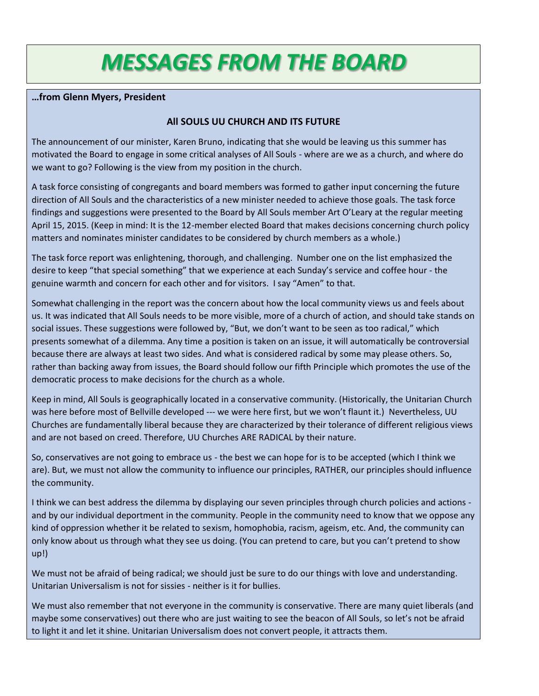# *MESSAGES FROM THE BOARD*

#### **…from Glenn Myers, President**

#### **All SOULS UU CHURCH AND ITS FUTURE**

The announcement of our minister, Karen Bruno, indicating that she would be leaving us this summer has motivated the Board to engage in some critical analyses of All Souls - where are we as a church, and where do we want to go? Following is the view from my position in the church.

A task force consisting of congregants and board members was formed to gather input concerning the future direction of All Souls and the characteristics of a new minister needed to achieve those goals. The task force findings and suggestions were presented to the Board by All Souls member Art O'Leary at the regular meeting April 15, 2015. (Keep in mind: It is the 12-member elected Board that makes decisions concerning church policy matters and nominates minister candidates to be considered by church members as a whole.)

The task force report was enlightening, thorough, and challenging. Number one on the list emphasized the desire to keep "that special something" that we experience at each Sunday's service and coffee hour - the genuine warmth and concern for each other and for visitors. I say "Amen" to that.

Somewhat challenging in the report was the concern about how the local community views us and feels about us. It was indicated that All Souls needs to be more visible, more of a church of action, and should take stands on social issues. These suggestions were followed by, "But, we don't want to be seen as too radical," which presents somewhat of a dilemma. Any time a position is taken on an issue, it will automatically be controversial because there are always at least two sides. And what is considered radical by some may please others. So, rather than backing away from issues, the Board should follow our fifth Principle which promotes the use of the democratic process to make decisions for the church as a whole.

Keep in mind, All Souls is geographically located in a conservative community. (Historically, the Unitarian Church was here before most of Bellville developed --- we were here first, but we won't flaunt it.) Nevertheless, UU Churches are fundamentally liberal because they are characterized by their tolerance of different religious views and are not based on creed. Therefore, UU Churches ARE RADICAL by their nature.

So, conservatives are not going to embrace us - the best we can hope for is to be accepted (which I think we are). But, we must not allow the community to influence our principles, RATHER, our principles should influence the community.

I think we can best address the dilemma by displaying our seven principles through church policies and actions and by our individual deportment in the community. People in the community need to know that we oppose any kind of oppression whether it be related to sexism, homophobia, racism, ageism, etc. And, the community can only know about us through what they see us doing. (You can pretend to care, but you can't pretend to show up!)

We must not be afraid of being radical; we should just be sure to do our things with love and understanding. Unitarian Universalism is not for sissies - neither is it for bullies.

We must also remember that not everyone in the community is conservative. There are many quiet liberals (and maybe some conservatives) out there who are just waiting to see the beacon of All Souls, so let's not be afraid to light it and let it shine. Unitarian Universalism does not convert people, it attracts them.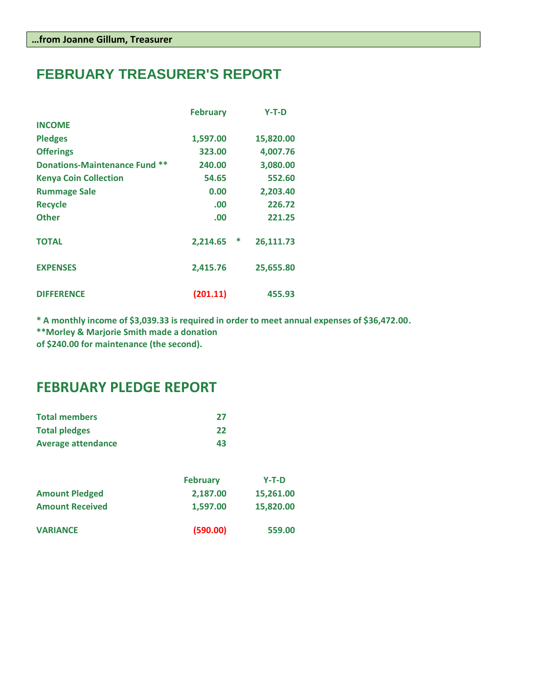# **FEBRUARY TREASURER'S REPORT**

|                                      | <b>February</b> |   | $Y-T-D$   |
|--------------------------------------|-----------------|---|-----------|
| <b>INCOME</b>                        |                 |   |           |
| <b>Pledges</b>                       | 1,597.00        |   | 15,820.00 |
| <b>Offerings</b>                     | 323.00          |   | 4,007.76  |
| <b>Donations-Maintenance Fund **</b> | 240.00          |   | 3,080.00  |
| <b>Kenya Coin Collection</b>         | 54.65           |   | 552.60    |
| <b>Rummage Sale</b>                  | 0.00            |   | 2,203.40  |
| <b>Recycle</b>                       | .00             |   | 226.72    |
| <b>Other</b>                         | .00             |   | 221.25    |
| <b>TOTAL</b>                         | 2,214.65        | ∗ | 26,111.73 |
| <b>EXPENSES</b>                      | 2,415.76        |   | 25,655.80 |
| <b>DIFFERENCE</b>                    | (201.11)        |   | 455.93    |

**\* A monthly income of \$3,039.33 is required in order to meet annual expenses of \$36,472.00.**

**\*\*Morley & Marjorie Smith made a donation** 

**of \$240.00 for maintenance (the second).**

# **FEBRUARY PLEDGE REPORT**

| <b>Total members</b>      | -27 |
|---------------------------|-----|
| <b>Total pledges</b>      | 22  |
| <b>Average attendance</b> | 43  |

|                        | <b>February</b> | $Y-T-D$   |
|------------------------|-----------------|-----------|
| <b>Amount Pledged</b>  | 2,187.00        | 15,261.00 |
| <b>Amount Received</b> | 1.597.00        | 15,820.00 |
| <b>VARIANCE</b>        | (590.00)        | 559.00    |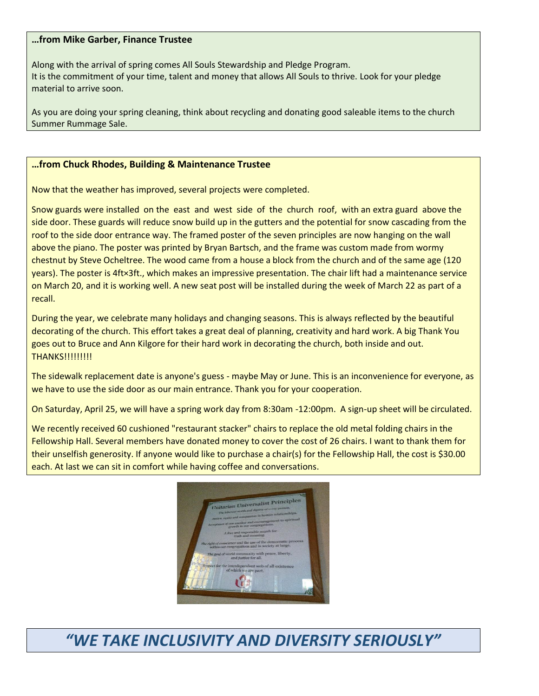#### **…from Mike Garber, Finance Trustee**

Along with the arrival of spring comes All Souls Stewardship and Pledge Program. It is the commitment of your time, talent and money that allows All Souls to thrive. Look for your pledge material to arrive soon.

As you are doing your spring cleaning, think about recycling and donating good saleable items to the church Summer Rummage Sale.

#### **…from Chuck Rhodes, Building & Maintenance Trustee**

Now that the weather has improved, several projects were completed.

Snow guards were installed on the east and west side of the church roof, with an extra guard above the side door. These guards will reduce snow build up in the gutters and the potential for snow cascading from the roof to the side door entrance way. The framed poster of the seven principles are now hanging on the wall above the piano. The poster was printed by Bryan Bartsch, and the frame was custom made from wormy chestnut by Steve Ocheltree. The wood came from a house a block from the church and of the same age (120 years). The poster is 4ft×3ft., which makes an impressive presentation. The chair lift had a maintenance service on March 20, and it is working well. A new seat post will be installed during the week of March 22 as part of a recall.

During the year, we celebrate many holidays and changing seasons. This is always reflected by the beautiful decorating of the church. This effort takes a great deal of planning, creativity and hard work. A big Thank You goes out to Bruce and Ann Kilgore for their hard work in decorating the church, both inside and out. **THANKS!!!!!!!!!!** 

The sidewalk replacement date is anyone's guess - maybe May or June. This is an inconvenience for everyone, as we have to use the side door as our main entrance. Thank you for your cooperation.

On Saturday, April 25, we will have a spring work day from 8:30am -12:00pm. A sign-up sheet will be circulated.

We recently received 60 cushioned "restaurant stacker" chairs to replace the old metal folding chairs in the Fellowship Hall. Several members have donated money to cover the cost of 26 chairs. I want to thank them for their unselfish generosity. If anyone would like to purchase a chair(s) for the Fellowship Hall, the cost is \$30.00 each. At last we can sit in comfort while having coffee and conversations.



# *"WE TAKE INCLUSIVITY AND DIVERSITY SERIOUSLY"*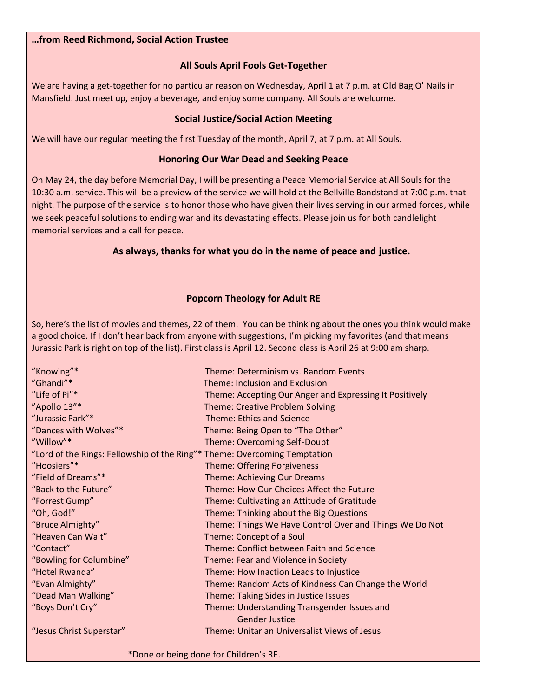#### **…from Reed Richmond, Social Action Trustee**

#### **All Souls April Fools Get-Together**

We are having a get-together for no particular reason on Wednesday, April 1 at 7 p.m. at Old Bag O' Nails in Mansfield. Just meet up, enjoy a beverage, and enjoy some company. All Souls are welcome.

#### **Social Justice/Social Action Meeting**

We will have our regular meeting the first Tuesday of the month, April 7, at 7 p.m. at All Souls.

#### **Honoring Our War Dead and Seeking Peace**

On May 24, the day before Memorial Day, I will be presenting a Peace Memorial Service at All Souls for the 10:30 a.m. service. This will be a preview of the service we will hold at the Bellville Bandstand at 7:00 p.m. that night. The purpose of the service is to honor those who have given their lives serving in our armed forces, while we seek peaceful solutions to ending war and its devastating effects. Please join us for both candlelight memorial services and a call for peace.

#### **As always, thanks for what you do in the name of peace and justice.**

#### **Popcorn Theology for Adult RE**

So, here's the list of movies and themes, 22 of them. You can be thinking about the ones you think would make a good choice. If I don't hear back from anyone with suggestions, I'm picking my favorites (and that means Jurassic Park is right on top of the list). First class is April 12. Second class is April 26 at 9:00 am sharp.

| "Knowing"*                                                                | Theme: Determinism vs. Random Events                    |
|---------------------------------------------------------------------------|---------------------------------------------------------|
| "Ghandi"*                                                                 | Theme: Inclusion and Exclusion                          |
| "Life of Pi"*                                                             | Theme: Accepting Our Anger and Expressing It Positively |
| "Apollo 13"*                                                              | <b>Theme: Creative Problem Solving</b>                  |
| "Jurassic Park"*                                                          | <b>Theme: Ethics and Science</b>                        |
| "Dances with Wolves"*                                                     | Theme: Being Open to "The Other"                        |
| "Willow"*                                                                 | Theme: Overcoming Self-Doubt                            |
| "Lord of the Rings: Fellowship of the Ring"* Theme: Overcoming Temptation |                                                         |
| "Hoosiers"*                                                               | <b>Theme: Offering Forgiveness</b>                      |
| "Field of Dreams"*                                                        | Theme: Achieving Our Dreams                             |
| "Back to the Future"                                                      | Theme: How Our Choices Affect the Future                |
| "Forrest Gump"                                                            | Theme: Cultivating an Attitude of Gratitude             |
| "Oh, God!"                                                                | Theme: Thinking about the Big Questions                 |
| "Bruce Almighty"                                                          | Theme: Things We Have Control Over and Things We Do Not |
| "Heaven Can Wait"                                                         | Theme: Concept of a Soul                                |
| "Contact"                                                                 | Theme: Conflict between Faith and Science               |
| "Bowling for Columbine"                                                   | Theme: Fear and Violence in Society                     |
| "Hotel Rwanda"                                                            | Theme: How Inaction Leads to Injustice                  |
| "Evan Almighty"                                                           | Theme: Random Acts of Kindness Can Change the World     |
| "Dead Man Walking"                                                        | Theme: Taking Sides in Justice Issues                   |
| "Boys Don't Cry"                                                          | Theme: Understanding Transgender Issues and             |
|                                                                           | <b>Gender Justice</b>                                   |
| "Jesus Christ Superstar"                                                  | Theme: Unitarian Universalist Views of Jesus            |
|                                                                           |                                                         |

\*Done or being done for Children's RE.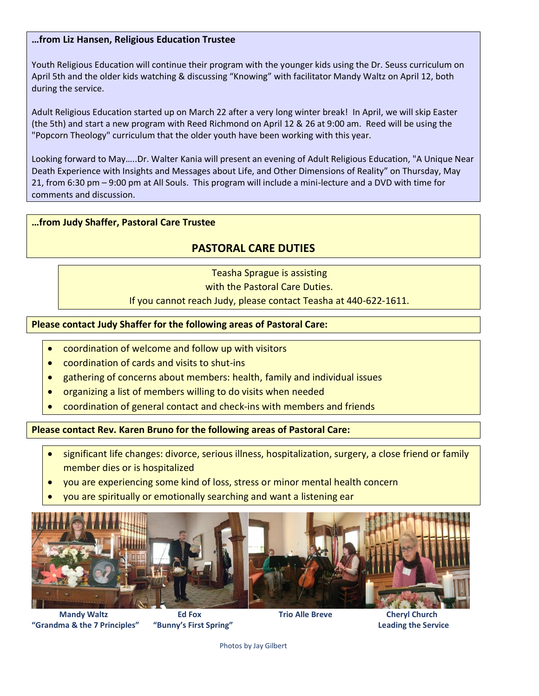#### **…from Liz Hansen, Religious Education Trustee**

Youth Religious Education will continue their program with the younger kids using the Dr. Seuss curriculum on April 5th and the older kids watching & discussing "Knowing" with facilitator Mandy Waltz on April 12, both during the service.

Adult Religious Education started up on March 22 after a very long winter break! In April, we will skip Easter (the 5th) and start a new program with Reed Richmond on April 12 & 26 at 9:00 am. Reed will be using the "Popcorn Theology" curriculum that the older youth have been working with this year.

Looking forward to May…..Dr. Walter Kania will present an evening of Adult Religious Education, "A Unique Near Death Experience with Insights and Messages about Life, and Other Dimensions of Reality" on Thursday, May 21, from 6:30 pm – 9:00 pm at All Souls. This program will include a mini-lecture and a DVD with time for comments and discussion.

#### **…from Judy Shaffer, Pastoral Care Trustee**

### **PASTORAL CARE DUTIES**

Teasha Sprague is assisting

with the Pastoral Care Duties.

If you cannot reach Judy, please contact Teasha at 440-622-1611.

#### **Please contact Judy Shaffer for the following areas of Pastoral Care:**

- coordination of welcome and follow up with visitors
- coordination of cards and visits to shut-ins
- gathering of concerns about members: health, family and individual issues
- organizing a list of members willing to do visits when needed
- coordination of general contact and check-ins with members and friends

**Please contact Rev. Karen Bruno for the following areas of Pastoral Care:**

- significant life changes: divorce, serious illness, hospitalization, surgery, a close friend or family member dies or is hospitalized
- you are experiencing some kind of loss, stress or minor mental health concern
- you are spiritually or emotionally searching and want a listening ear



 **Mandy Waltz Ed Fox Trio Alle Breve Cheryl Church "Grandma & the 7 Principles" "Bunny's First Spring" Leading the Service**

Photos by Jay Gilbert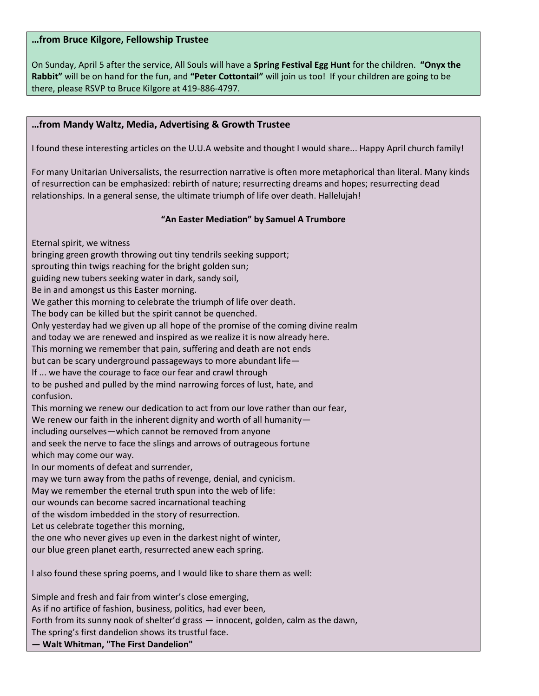#### **…from Bruce Kilgore, Fellowship Trustee**

On Sunday, April 5 after the service, All Souls will have a **Spring Festival Egg Hunt** for the children. **"Onyx the Rabbit"** will be on hand for the fun, and **"Peter Cottontail"** will join us too! If your children are going to be there, please RSVP to Bruce Kilgore at 419-886-4797.

#### **…from Mandy Waltz, Media, Advertising & Growth Trustee**

I found these interesting articles on the U.U.A website and thought I would share... Happy April church family!

For many Unitarian Universalists, the resurrection narrative is often more metaphorical than literal. Many kinds of resurrection can be emphasized: rebirth of nature; resurrecting dreams and hopes; resurrecting dead relationships. In a general sense, the ultimate triumph of life over death. Hallelujah!

#### **"An Easter Mediation" by Samuel A Trumbore**

Eternal spirit, we witness

bringing green growth throwing out tiny tendrils seeking support;

sprouting thin twigs reaching for the bright golden sun;

guiding new tubers seeking water in dark, sandy soil,

Be in and amongst us this Easter morning.

We gather this morning to celebrate the triumph of life over death.

The body can be killed but the spirit cannot be quenched.

Only yesterday had we given up all hope of the promise of the coming divine realm

and today we are renewed and inspired as we realize it is now already here.

This morning we remember that pain, suffering and death are not ends

but can be scary underground passageways to more abundant life—

If ... we have the courage to face our fear and crawl through

to be pushed and pulled by the mind narrowing forces of lust, hate, and confusion.

This morning we renew our dedication to act from our love rather than our fear,

We renew our faith in the inherent dignity and worth of all humanity—

including ourselves—which cannot be removed from anyone

and seek the nerve to face the slings and arrows of outrageous fortune

which may come our way.

In our moments of defeat and surrender,

may we turn away from the paths of revenge, denial, and cynicism.

May we remember the eternal truth spun into the web of life:

our wounds can become sacred incarnational teaching

of the wisdom imbedded in the story of resurrection.

Let us celebrate together this morning,

the one who never gives up even in the darkest night of winter,

our blue green planet earth, resurrected anew each spring.

I also found these spring poems, and I would like to share them as well:

Simple and fresh and fair from winter's close emerging, As if no artifice of fashion, business, politics, had ever been, Forth from its sunny nook of shelter'd grass — innocent, golden, calm as the dawn, The spring's first dandelion shows its trustful face.

**— Walt Whitman, "The First Dandelion"**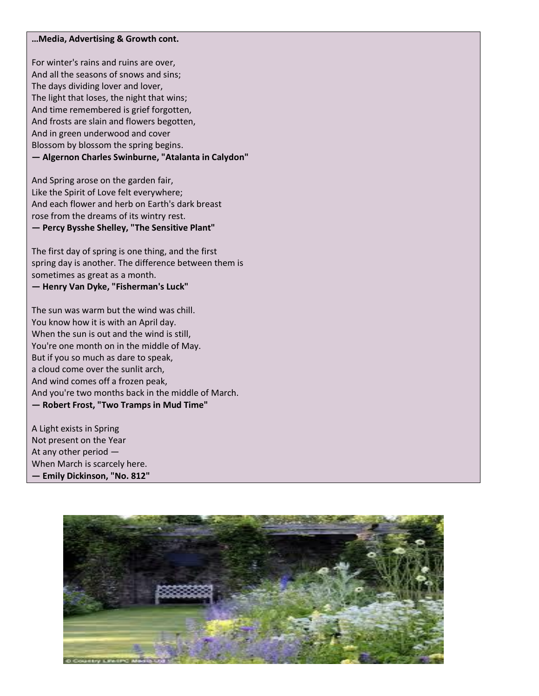#### **…Media, Advertising & Growth cont.**

For winter's rains and ruins are over, And all the seasons of snows and sins; The days dividing lover and lover, The light that loses, the night that wins; And time remembered is grief forgotten, And frosts are slain and flowers begotten, And in green underwood and cover Blossom by blossom the spring begins. **— Algernon Charles Swinburne, "Atalanta in Calydon"**

And Spring arose on the garden fair, Like the Spirit of Love felt everywhere; And each flower and herb on Earth's dark breast rose from the dreams of its wintry rest. **— Percy Bysshe Shelley, "The Sensitive Plant"**

The first day of spring is one thing, and the first spring day is another. The difference between them is sometimes as great as a month. **— Henry Van Dyke, "Fisherman's Luck"**

The sun was warm but the wind was chill. You know how it is with an April day. When the sun is out and the wind is still, You're one month on in the middle of May. But if you so much as dare to speak, a cloud come over the sunlit arch, And wind comes off a frozen peak, And you're two months back in the middle of March. **— Robert Frost, "Two Tramps in Mud Time"**

A Light exists in Spring Not present on the Year At any other period — When March is scarcely here. **— Emily Dickinson, "No. 812"**

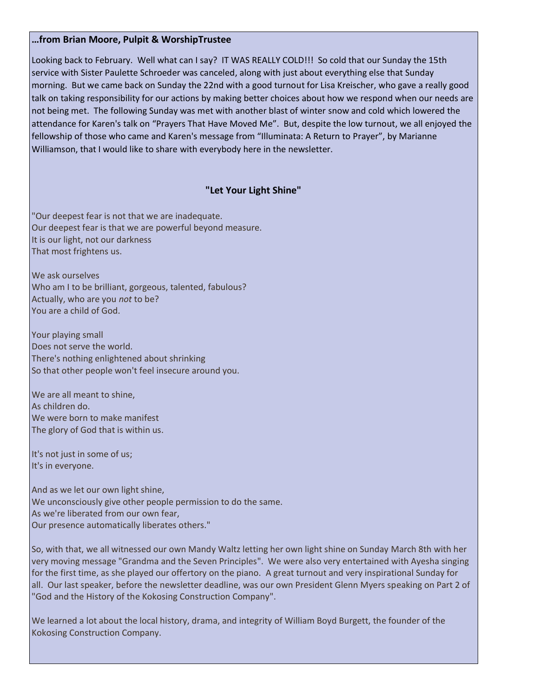#### **…from Brian Moore, Pulpit & WorshipTrustee**

Looking back to February. Well what can I say? IT WAS REALLY COLD!!! So cold that our Sunday the 15th service with Sister Paulette Schroeder was canceled, along with just about everything else that Sunday morning. But we came back on Sunday the 22nd with a good turnout for Lisa Kreischer, who gave a really good talk on taking responsibility for our actions by making better choices about how we respond when our needs are not being met. The following Sunday was met with another blast of winter snow and cold which lowered the attendance for Karen's talk on "Prayers That Have Moved Me". But, despite the low turnout, we all enjoyed the fellowship of those who came and Karen's message from "Illuminata: A Return to Prayer", by Marianne Williamson, that I would like to share with everybody here in the newsletter.

#### **"Let Your Light Shine"**

"Our deepest fear is not that we are inadequate. Our deepest fear is that we are powerful beyond measure. It is our light, not our darkness That most frightens us.

We ask ourselves Who am I to be brilliant, gorgeous, talented, fabulous? Actually, who are you *not* to be? You are a child of God.

Your playing small Does not serve the world. There's nothing enlightened about shrinking So that other people won't feel insecure around you.

We are all meant to shine, As children do. We were born to make manifest The glory of God that is within us.

It's not just in some of us; It's in everyone.

And as we let our own light shine, We unconsciously give other people permission to do the same. As we're liberated from our own fear, Our presence automatically liberates others."

So, with that, we all witnessed our own Mandy Waltz letting her own light shine on Sunday March 8th with her very moving message "Grandma and the Seven Principles". We were also very entertained with Ayesha singing for the first time, as she played our offertory on the piano. A great turnout and very inspirational Sunday for all. Our last speaker, before the newsletter deadline, was our own President Glenn Myers speaking on Part 2 of "God and the History of the Kokosing Construction Company".

We learned a lot about the local history, drama, and integrity of William Boyd Burgett, the founder of the Kokosing Construction Company.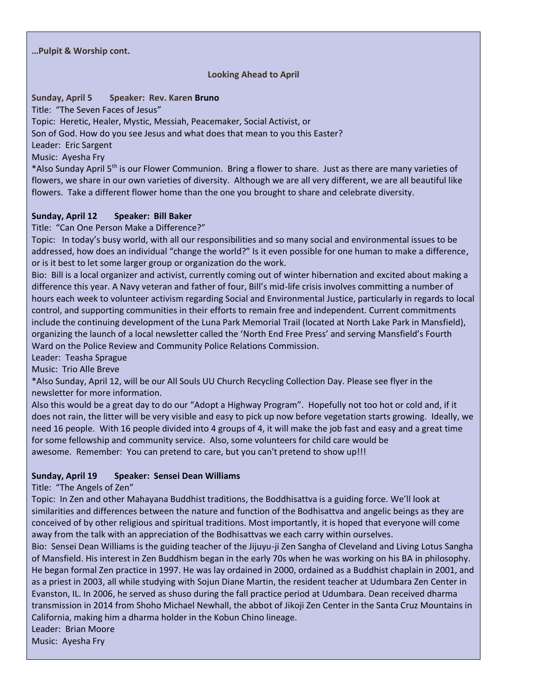#### **…Pulpit & Worship cont.**

#### **Looking Ahead to April**

#### **Sunday, April 5 Speaker: Rev. Karen Bruno**

Title: "The Seven Faces of Jesus"

Topic: Heretic, Healer, Mystic, Messiah, Peacemaker, Social Activist, or

Son of God. How do you see Jesus and what does that mean to you this Easter?

Leader: Eric Sargent

Music: Ayesha Fry

\*Also Sunday April 5th is our Flower Communion. Bring a flower to share. Just as there are many varieties of flowers, we share in our own varieties of diversity. Although we are all very different, we are all beautiful like flowers. Take a different flower home than the one you brought to share and celebrate diversity.

#### **Sunday, April 12 Speaker: Bill Baker**

Title: "Can One Person Make a Difference?"

Topic: In today's busy world, with all our responsibilities and so many social and environmental issues to be addressed, how does an individual "change the world?" Is it even possible for one human to make a difference, or is it best to let some larger group or organization do the work.

Bio: Bill is a local organizer and activist, currently coming out of winter hibernation and excited about making a difference this year. A Navy veteran and father of four, Bill's mid-life crisis involves committing a number of hours each week to volunteer activism regarding Social and Environmental Justice, particularly in regards to local control, and supporting communities in their efforts to remain free and independent. Current commitments include the continuing development of the Luna Park Memorial Trail (located at North Lake Park in Mansfield), organizing the launch of a local newsletter called the 'North End Free Press' and serving Mansfield's Fourth Ward on the Police Review and Community Police Relations Commission.

Leader: Teasha Sprague

Music: Trio Alle Breve

\*Also Sunday, April 12, will be our All Souls UU Church Recycling Collection Day. Please see flyer in the newsletter for more information.

Also this would be a great day to do our "Adopt a Highway Program". Hopefully not too hot or cold and, if it does not rain, the litter will be very visible and easy to pick up now before vegetation starts growing. Ideally, we need 16 people. With 16 people divided into 4 groups of 4, it will make the job fast and easy and a great time for some fellowship and community service. Also, some volunteers for child care would be awesome. Remember: You can pretend to care, but you can't pretend to show up!!!

#### **Sunday, April 19 Speaker: Sensei Dean Williams**

Title: "The Angels of Zen"

Topic: In Zen and other Mahayana Buddhist traditions, the Boddhisattva is a guiding force. We'll look at similarities and differences between the nature and function of the Bodhisattva and angelic beings as they are conceived of by other religious and spiritual traditions. Most importantly, it is hoped that everyone will come away from the talk with an appreciation of the Bodhisattvas we each carry within ourselves.

Bio: Sensei Dean Williams is the guiding teacher of the Jijuyu-ji Zen Sangha of Cleveland and Living Lotus Sangha of Mansfield. His interest in Zen Buddhism began in the early 70s when he was working on his BA in philosophy. He began formal Zen practice in 1997. He was lay ordained in 2000, ordained as a Buddhist chaplain in 2001, and as a priest in 2003, all while studying with Sojun Diane Martin, the resident teacher at Udumbara Zen Center in Evanston, IL. In 2006, he served as shuso during the fall practice period at Udumbara. Dean received dharma transmission in 2014 from Shoho Michael Newhall, the abbot of Jikoji Zen Center in the Santa Cruz Mountains in California, making him a dharma holder in the Kobun Chino lineage.

Leader: Brian Moore

Music: Ayesha Fry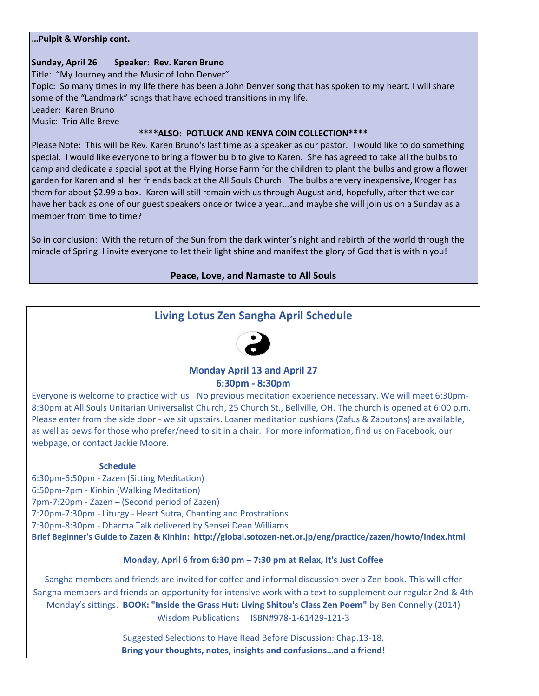#### **…Pulpit & Worship cont.**

#### **Sunday, April 26 Speaker: Rev. Karen Bruno**

Title: "My Journey and the Music of John Denver"

Topic: So many times in my life there has been a John Denver song that has spoken to my heart. I will share some of the "Landmark" songs that have echoed transitions in my life.

Leader: Karen Bruno

Music: Trio Alle Breve

#### **\*\*\*\*ALSO: POTLUCK AND KENYA COIN COLLECTION\*\*\*\***

Please Note: This will be Rev. Karen Bruno's last time as a speaker as our pastor. I would like to do something special. I would like everyone to bring a flower bulb to give to Karen. She has agreed to take all the bulbs to camp and dedicate a special spot at the Flying Horse Farm for the children to plant the bulbs and grow a flower garden for Karen and all her friends back at the All Souls Church. The bulbs are very inexpensive, Kroger has them for about \$2.99 a box. Karen will still remain with us through August and, hopefully, after that we can have her back as one of our guest speakers once or twice a year…and maybe she will join us on a Sunday as a member from time to time?

So in conclusion: With the return of the Sun from the dark winter's night and rebirth of the world through the miracle of Spring. I invite everyone to let their light shine and manifest the glory of God that is within you!

#### **Peace, Love, and Namaste to All Souls**

## **Living Lotus Zen Sangha April Schedule**



# **Monday April 13 and April 27**

#### **6:30pm - 8:30pm**

Everyone is welcome to practice with us! No previous meditation experience necessary. We will meet 6:30pm-8:30pm at All Souls Unitarian Universalist Church, 25 Church St., Bellville, OH. The church is opened at 6:00 p.m. Please enter from the side door - we sit upstairs. Loaner meditation cushions (Zafus & Zabutons) are available, as well as pews for those who prefer/need to sit in a chair. For more information, find us on Facebook, our webpage, or contact Jackie Moore.

#### **Schedule**

6:30pm-6:50pm - Zazen (Sitting Meditation) 6:50pm-7pm - Kinhin (Walking Meditation) 7pm-7:20pm - Zazen – (Second period of Zazen) 7:20pm-7:30pm - Liturgy - Heart Sutra, Chanting and Prostrations 7:30pm-8:30pm - Dharma Talk delivered by Sensei Dean Williams **Brief Beginner's Guide to Zazen & Kinhin: <http://global.sotozen-net.or.jp/eng/practice/zazen/howto/index.html>**

#### **Monday, April 6 from 6:30 pm – 7:30 pm at Relax, It's Just Coffee**

Sangha members and friends are invited for coffee and informal discussion over a Zen book. This will offer Sangha members and friends an opportunity for intensive work with a text to supplement our regular 2nd & 4th Monday's sittings. **BOOK: "Inside the Grass Hut: Living Shitou's Class Zen Poem"** by Ben Connelly (2014) Wisdom Publications ISBN#978-1-61429-121-3

> Suggested Selections to Have Read Before Discussion: Chap.13-18. **Bring your thoughts, notes, insights and confusions…and a friend!**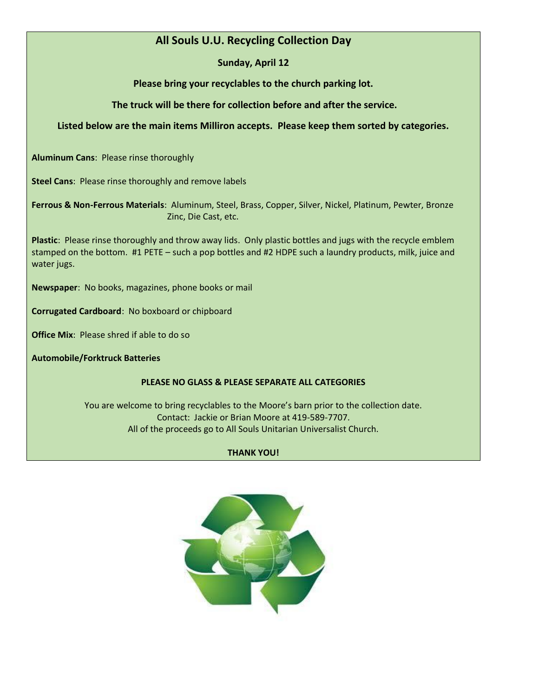### **All Souls U.U. Recycling Collection Day**

**Sunday, April 12**

**Please bring your recyclables to the church parking lot.** 

**The truck will be there for collection before and after the service.** 

#### **Listed below are the main items Milliron accepts. Please keep them sorted by categories.**

**Aluminum Cans**: Please rinse thoroughly

**Steel Cans**: Please rinse thoroughly and remove labels

**Ferrous & Non-Ferrous Materials**: Aluminum, Steel, Brass, Copper, Silver, Nickel, Platinum, Pewter, Bronze Zinc, Die Cast, etc.

**Plastic**: Please rinse thoroughly and throw away lids. Only plastic bottles and jugs with the recycle emblem stamped on the bottom. #1 PETE – such a pop bottles and #2 HDPE such a laundry products, milk, juice and water jugs.

**Newspaper**: No books, magazines, phone books or mail

**Corrugated Cardboard**: No boxboard or chipboard

**Office Mix**: Please shred if able to do so

**Automobile/Forktruck Batteries**

#### **PLEASE NO GLASS & PLEASE SEPARATE ALL CATEGORIES**

You are welcome to bring recyclables to the Moore's barn prior to the collection date. Contact: Jackie or Brian Moore at 419-589-7707. All of the proceeds go to All Souls Unitarian Universalist Church.

#### **THANK YOU!**